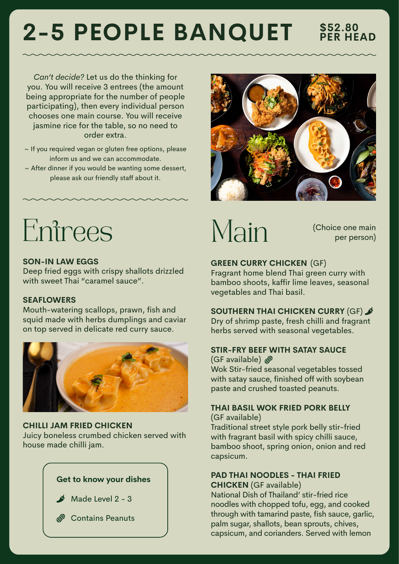# **2-5 PEOPLE BANQUET**

**PER HEAD**

*Can't decide?* Let us do the thinking for you. You will receive 3 entrees (the amount being appropriate for the number of people participating), then every individual person chooses one main course. You will receive jasmine rice for the table, so no need to order extra.

- $\sim$  If you required vegan or gluten free options, please inform us and we can accommodate.
- $\sim$  After dinner if you would be wanting some dessert, please ask our friendly staff about it.



# Entrees

### **SON-IN LAW EGGS**

Deep fried eggs with crispy shallots drizzled with sweet Thai "caramel sauce".

### **SEAFLOWERS**

Mouth-watering scallops, prawn, fish and squid made with herbs dumplings and caviar on top served in delicate red curry sauce.



### **CHILLI JAM FRIED CHICKEN**

Juicy boneless crumbed chicken served with house made chilli jam.

### **Get to know your dishes**



 $M$  Made Level 2 - 3

*<sup><i>* Contains Peanuts</sup>

# Main

 (Choice one main per person)

### **GREEN CURRY CHICKEN** (GF)

Fragrant home blend Thai green curry with bamboo shoots, kaffir lime leaves, seasonal vegetables and Thai basil.

### **SOUTHERN THAI CHICKEN CURRY** (GF)

Dry of shrimp paste, fresh chilli and fragrant herbs served with seasonal vegetables.

### **STIR-FRY BEEF WITH SATAY SAUCE**

(GF available)  $\mathscr{B}$ Wok Stir-fried seasonal vegetables tossed with satay sauce, finished off with soybean paste and crushed toasted peanuts.

### **THAI BASIL WOK FRIED PORK BELLY**

(GF available)

Traditional street style pork belly stir-fried with fragrant basil with spicy chilli sauce, bamboo shoot, spring onion, onion and red capsicum.

### **PAD THAI NOODLES - THAI FRIED CHICKEN** (GF available)

National Dish of Thailand' stir-fried rice noodles with chopped tofu, egg, and cooked through with tamarind paste, fish sauce, garlic, palm sugar, shallots, bean sprouts, chives, capsicum, and corianders. Served with lemon